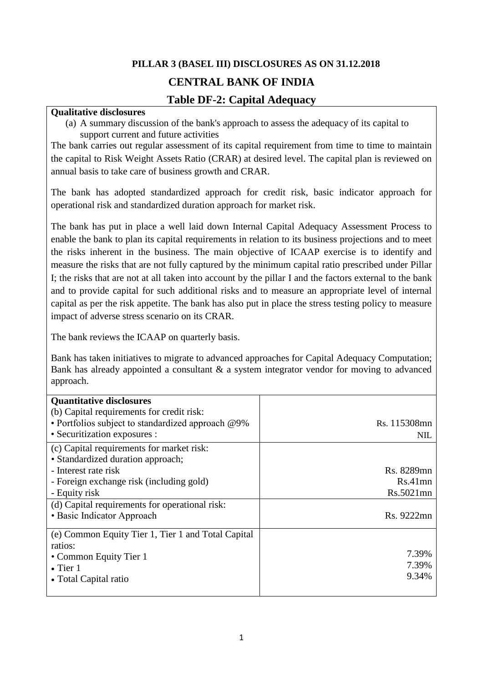# **PILLAR 3 (BASEL III) DISCLOSURES AS ON 31.12.2018 CENTRAL BANK OF INDIA**

## **Table DF-2: Capital Adequacy**

#### **Qualitative disclosures**

(a) A summary discussion of the bank's approach to assess the adequacy of its capital to support current and future activities

The bank carries out regular assessment of its capital requirement from time to time to maintain the capital to Risk Weight Assets Ratio (CRAR) at desired level. The capital plan is reviewed on annual basis to take care of business growth and CRAR.

The bank has adopted standardized approach for credit risk, basic indicator approach for operational risk and standardized duration approach for market risk.

The bank has put in place a well laid down Internal Capital Adequacy Assessment Process to enable the bank to plan its capital requirements in relation to its business projections and to meet the risks inherent in the business. The main objective of ICAAP exercise is to identify and measure the risks that are not fully captured by the minimum capital ratio prescribed under Pillar I; the risks that are not at all taken into account by the pillar I and the factors external to the bank and to provide capital for such additional risks and to measure an appropriate level of internal capital as per the risk appetite. The bank has also put in place the stress testing policy to measure impact of adverse stress scenario on its CRAR.

The bank reviews the ICAAP on quarterly basis.

Bank has taken initiatives to migrate to advanced approaches for Capital Adequacy Computation; Bank has already appointed a consultant & a system integrator vendor for moving to advanced approach.

| <b>Quantitative disclosures</b><br>(b) Capital requirements for credit risk:<br>• Portfolios subject to standardized approach @9%<br>• Securitization exposures : | Rs. 115308mn<br>NIL. |
|-------------------------------------------------------------------------------------------------------------------------------------------------------------------|----------------------|
| (c) Capital requirements for market risk:<br>• Standardized duration approach;                                                                                    |                      |
| - Interest rate risk                                                                                                                                              | Rs. 8289mn           |
| - Foreign exchange risk (including gold)                                                                                                                          | $Rs.41$ mn           |
| - Equity risk                                                                                                                                                     | Rs.5021mn            |
| (d) Capital requirements for operational risk:                                                                                                                    |                      |
| • Basic Indicator Approach                                                                                                                                        | Rs. 9222mn           |
| (e) Common Equity Tier 1, Tier 1 and Total Capital                                                                                                                |                      |
| ratios:                                                                                                                                                           |                      |
| • Common Equity Tier 1                                                                                                                                            | 7.39%                |
| $\bullet$ Tier 1                                                                                                                                                  | 7.39%                |
| • Total Capital ratio                                                                                                                                             | 9.34%                |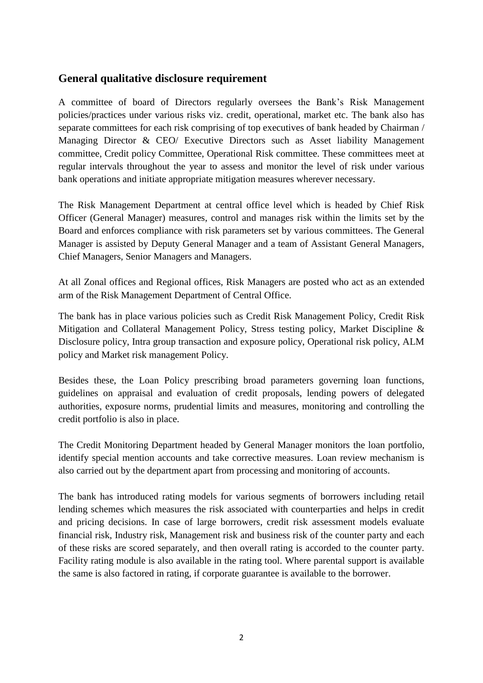### **General qualitative disclosure requirement**

A committee of board of Directors regularly oversees the Bank's Risk Management policies/practices under various risks viz. credit, operational, market etc. The bank also has separate committees for each risk comprising of top executives of bank headed by Chairman / Managing Director & CEO/ Executive Directors such as Asset liability Management committee, Credit policy Committee, Operational Risk committee. These committees meet at regular intervals throughout the year to assess and monitor the level of risk under various bank operations and initiate appropriate mitigation measures wherever necessary.

The Risk Management Department at central office level which is headed by Chief Risk Officer (General Manager) measures, control and manages risk within the limits set by the Board and enforces compliance with risk parameters set by various committees. The General Manager is assisted by Deputy General Manager and a team of Assistant General Managers, Chief Managers, Senior Managers and Managers.

At all Zonal offices and Regional offices, Risk Managers are posted who act as an extended arm of the Risk Management Department of Central Office.

The bank has in place various policies such as Credit Risk Management Policy, Credit Risk Mitigation and Collateral Management Policy, Stress testing policy, Market Discipline & Disclosure policy, Intra group transaction and exposure policy, Operational risk policy, ALM policy and Market risk management Policy.

Besides these, the Loan Policy prescribing broad parameters governing loan functions, guidelines on appraisal and evaluation of credit proposals, lending powers of delegated authorities, exposure norms, prudential limits and measures, monitoring and controlling the credit portfolio is also in place.

The Credit Monitoring Department headed by General Manager monitors the loan portfolio, identify special mention accounts and take corrective measures. Loan review mechanism is also carried out by the department apart from processing and monitoring of accounts.

The bank has introduced rating models for various segments of borrowers including retail lending schemes which measures the risk associated with counterparties and helps in credit and pricing decisions. In case of large borrowers, credit risk assessment models evaluate financial risk, Industry risk, Management risk and business risk of the counter party and each of these risks are scored separately, and then overall rating is accorded to the counter party. Facility rating module is also available in the rating tool. Where parental support is available the same is also factored in rating, if corporate guarantee is available to the borrower.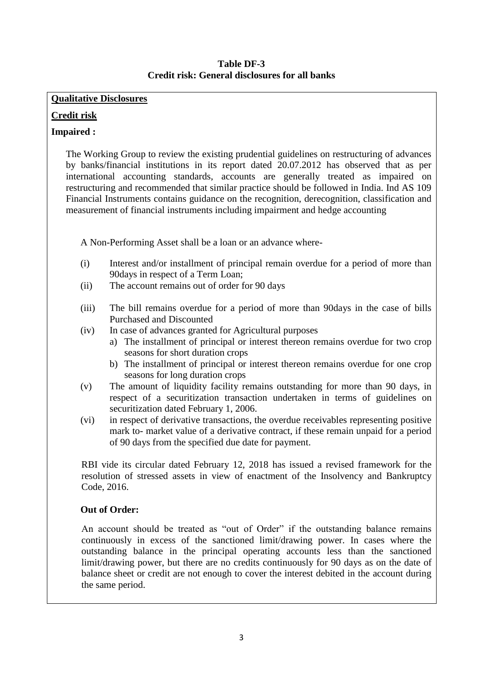#### **Table DF-3 Credit risk: General disclosures for all banks**

#### **Qualitative Disclosures**

#### **Credit risk**

#### **Impaired :**

The Working Group to review the existing prudential guidelines on restructuring of advances by banks/financial institutions in its report dated 20.07.2012 has observed that as per international accounting standards, accounts are generally treated as impaired on restructuring and recommended that similar practice should be followed in India. Ind AS 109 Financial Instruments contains guidance on the recognition, derecognition, classification and measurement of financial instruments including impairment and hedge accounting

A Non-Performing Asset shall be a loan or an advance where-

- (i) Interest and/or installment of principal remain overdue for a period of more than 90days in respect of a Term Loan;
- (ii) The account remains out of order for 90 days
- (iii) The bill remains overdue for a period of more than 90days in the case of bills Purchased and Discounted
- (iv) In case of advances granted for Agricultural purposes
	- a) The installment of principal or interest thereon remains overdue for two crop seasons for short duration crops
	- b) The installment of principal or interest thereon remains overdue for one crop seasons for long duration crops
- (v) The amount of liquidity facility remains outstanding for more than 90 days, in respect of a securitization transaction undertaken in terms of guidelines on securitization dated February 1, 2006.
- (vi) in respect of derivative transactions, the overdue receivables representing positive mark to- market value of a derivative contract, if these remain unpaid for a period of 90 days from the specified due date for payment.

RBI vide its circular dated February 12, 2018 has issued a revised framework for the resolution of stressed assets in view of enactment of the Insolvency and Bankruptcy Code, 2016.

#### **Out of Order:**

An account should be treated as "out of Order" if the outstanding balance remains continuously in excess of the sanctioned limit/drawing power. In cases where the outstanding balance in the principal operating accounts less than the sanctioned limit/drawing power, but there are no credits continuously for 90 days as on the date of balance sheet or credit are not enough to cover the interest debited in the account during the same period.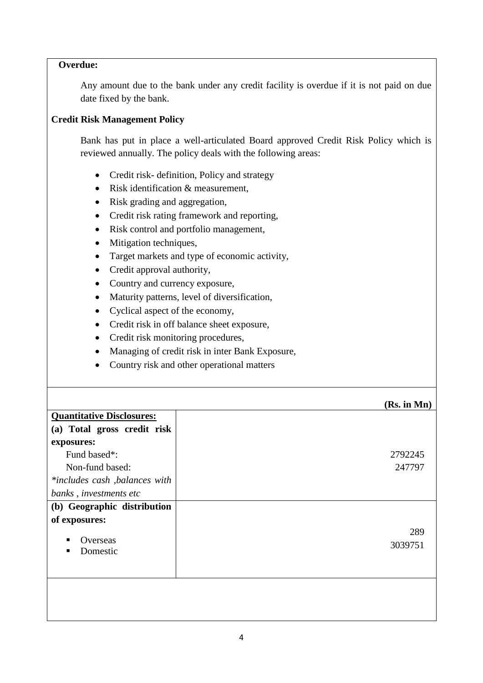#### **Overdue:**

Any amount due to the bank under any credit facility is overdue if it is not paid on due date fixed by the bank.

#### **Credit Risk Management Policy**

Bank has put in place a well-articulated Board approved Credit Risk Policy which is reviewed annually. The policy deals with the following areas:

- Credit risk- definition, Policy and strategy
- Risk identification & measurement,
- Risk grading and aggregation,
- Credit risk rating framework and reporting,
- Risk control and portfolio management,
- Mitigation techniques,
- Target markets and type of economic activity,
- Credit approval authority,
- Country and currency exposure,
- Maturity patterns, level of diversification,
- Cyclical aspect of the economy,
- Credit risk in off balance sheet exposure,
- Credit risk monitoring procedures,
- Managing of credit risk in inter Bank Exposure,
- Country risk and other operational matters

|                                  | (Rs. in Mn) |
|----------------------------------|-------------|
| <b>Quantitative Disclosures:</b> |             |
| (a) Total gross credit risk      |             |
| exposures:                       |             |
| Fund based*:                     | 2792245     |
| Non-fund based:                  | 247797      |
| *includes cash, balances with    |             |
| banks, investments etc           |             |
| (b) Geographic distribution      |             |
| of exposures:                    |             |
|                                  | 289         |
|                                  | 3039751     |
|                                  |             |
|                                  |             |
|                                  |             |
|                                  |             |
|                                  |             |
| Overseas<br>Domestic             |             |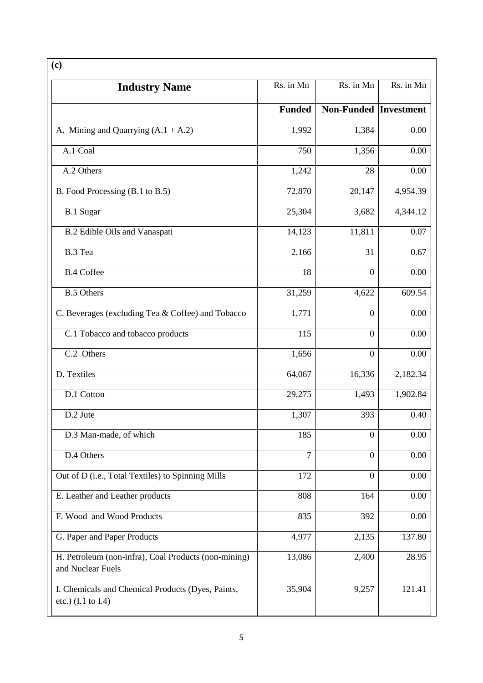| <b>Industry Name</b>                                                               | Rs. in Mn      | Rs. in Mn                    | Rs. in Mn |
|------------------------------------------------------------------------------------|----------------|------------------------------|-----------|
|                                                                                    | <b>Funded</b>  | <b>Non-Funded Investment</b> |           |
| A. Mining and Quarrying $(A.1 + A.2)$                                              | 1,992          | 1,384                        | 0.00      |
| A.1 Coal                                                                           | 750            | 1,356                        | 0.00      |
| A.2 Others                                                                         | 1,242          | 28                           | 0.00      |
| B. Food Processing (B.1 to B.5)                                                    | 72,870         | 20,147                       | 4,954.39  |
| <b>B.1 Sugar</b>                                                                   | 25,304         | 3,682                        | 4,344.12  |
| <b>B.2</b> Edible Oils and Vanaspati                                               | 14,123         | 11,811                       | 0.07      |
| B.3 Tea                                                                            | 2,166          | 31                           | 0.67      |
| <b>B.4 Coffee</b>                                                                  | 18             | $\overline{0}$               | 0.00      |
| <b>B.5 Others</b>                                                                  | 31,259         | 4,622                        | 609.54    |
| C. Beverages (excluding Tea & Coffee) and Tobacco                                  | 1,771          | $\boldsymbol{0}$             | 0.00      |
| C.1 Tobacco and tobacco products                                                   | 115            | $\overline{0}$               | 0.00      |
| C.2 Others                                                                         | 1,656          | $\overline{0}$               | 0.00      |
| D. Textiles                                                                        | 64,067         | 16,336                       | 2,182.34  |
| D.1 Cotton                                                                         | 29,275         | 1,493                        | 1,902.84  |
| D.2 Jute                                                                           | 1,307          | 393                          | 0.40      |
| D.3 Man-made, of which                                                             | 185            | $\overline{0}$               | 0.00      |
| D.4 Others                                                                         | $\overline{7}$ | $\overline{0}$               | 0.00      |
| Out of D (i.e., Total Textiles) to Spinning Mills                                  | 172            | $\overline{0}$               | 0.00      |
| E. Leather and Leather products                                                    | 808            | 164                          | 0.00      |
| F. Wood and Wood Products                                                          | 835            | 392                          | 0.00      |
| G. Paper and Paper Products                                                        | 4,977          | 2,135                        | 137.80    |
| H. Petroleum (non-infra), Coal Products (non-mining)<br>and Nuclear Fuels          | 13,086         | 2,400                        | 28.95     |
| I. Chemicals and Chemical Products (Dyes, Paints,<br>etc.) $(I.1 \text{ to } I.4)$ | 35,904         | 9,257                        | 121.41    |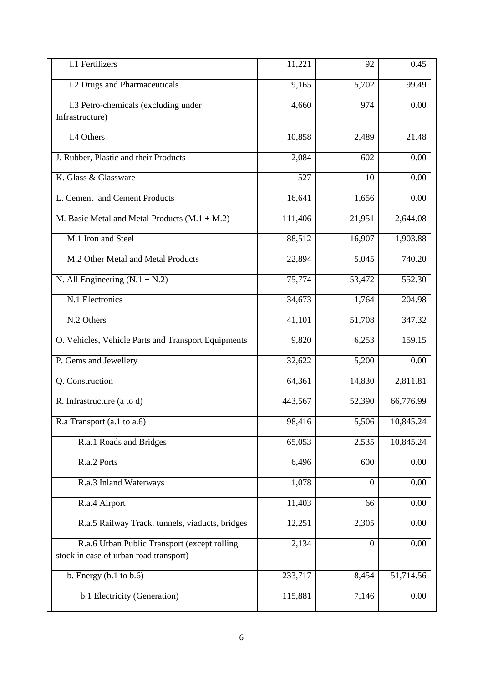| I.1 Fertilizers                                     | 11,221  | 92               | 0.45      |
|-----------------------------------------------------|---------|------------------|-----------|
| <b>I.2 Drugs and Pharmaceuticals</b>                | 9,165   | 5,702            | 99.49     |
| I.3 Petro-chemicals (excluding under                | 4,660   | 974              | 0.00      |
| Infrastructure)                                     |         |                  |           |
| I.4 Others                                          | 10,858  | 2,489            | 21.48     |
| J. Rubber, Plastic and their Products               | 2,084   | 602              | 0.00      |
| K. Glass & Glassware                                | 527     | 10               | 0.00      |
| L. Cement and Cement Products                       | 16,641  | 1,656            | 0.00      |
| M. Basic Metal and Metal Products $(M.1 + M.2)$     | 111,406 | 21,951           | 2,644.08  |
| M.1 Iron and Steel                                  | 88,512  | 16,907           | 1,903.88  |
| M.2 Other Metal and Metal Products                  | 22,894  | 5,045            | 740.20    |
| N. All Engineering $(N.1 + N.2)$                    | 75,774  | 53,472           | 552.30    |
| N.1 Electronics                                     | 34,673  | 1,764            | 204.98    |
| N.2 Others                                          | 41,101  | 51,708           | 347.32    |
| O. Vehicles, Vehicle Parts and Transport Equipments | 9,820   | 6,253            | 159.15    |
| P. Gems and Jewellery                               | 32,622  | 5,200            | 0.00      |
| Q. Construction                                     | 64,361  | 14,830           | 2,811.81  |
| R. Infrastructure (a to d)                          | 443,567 | 52,390           | 66,776.99 |
| R.a Transport (a.1 to a.6)                          | 98,416  | 5,506            | 10,845.24 |
| R.a.1 Roads and Bridges                             | 65,053  | 2,535            | 10,845.24 |
| R.a.2 Ports                                         | 6,496   | 600              | 0.00      |
| R.a.3 Inland Waterways                              | 1,078   | $\boldsymbol{0}$ | 0.00      |
| R.a.4 Airport                                       | 11,403  | 66               | 0.00      |
| R.a.5 Railway Track, tunnels, viaducts, bridges     | 12,251  | 2,305            | 0.00      |
| R.a.6 Urban Public Transport (except rolling        | 2,134   | $\boldsymbol{0}$ | 0.00      |
| stock in case of urban road transport)              |         |                  |           |
| b. Energy $(b.1 to b.6)$                            | 233,717 | 8,454            | 51,714.56 |
| b.1 Electricity (Generation)                        | 115,881 | 7,146            | 0.00      |
|                                                     |         |                  |           |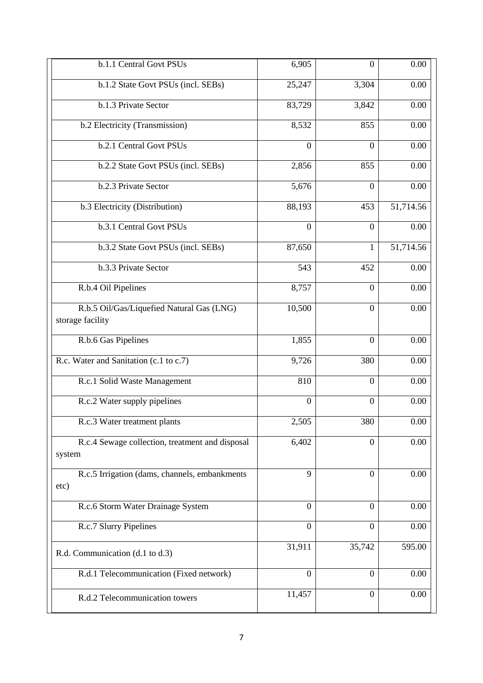| b.1.1 Central Govt PSUs                                       | 6,905            | $\overline{0}$   | 0.00      |
|---------------------------------------------------------------|------------------|------------------|-----------|
|                                                               |                  |                  |           |
| b.1.2 State Govt PSUs (incl. SEBs)                            | 25,247           | 3,304            | 0.00      |
| b.1.3 Private Sector                                          | 83,729           | 3,842            | 0.00      |
| b.2 Electricity (Transmission)                                | 8,532            | 855              | 0.00      |
| b.2.1 Central Govt PSUs                                       | $\boldsymbol{0}$ | $\theta$         | 0.00      |
| b.2.2 State Govt PSUs (incl. SEBs)                            | 2,856            | 855              | 0.00      |
| b.2.3 Private Sector                                          | 5,676            | $\mathbf{0}$     | 0.00      |
| b.3 Electricity (Distribution)                                | 88,193           | 453              | 51,714.56 |
| b.3.1 Central Govt PSUs                                       | $\overline{0}$   | $\overline{0}$   | 0.00      |
| b.3.2 State Govt PSUs (incl. SEBs)                            | 87,650           | 1                | 51,714.56 |
| b.3.3 Private Sector                                          | 543              | 452              | 0.00      |
| R.b.4 Oil Pipelines                                           | 8,757            | $\theta$         | 0.00      |
| R.b.5 Oil/Gas/Liquefied Natural Gas (LNG)<br>storage facility | 10,500           | $\mathbf{0}$     | 0.00      |
| R.b.6 Gas Pipelines                                           | 1,855            | $\theta$         | 0.00      |
| R.c. Water and Sanitation (c.1 to c.7)                        | 9,726            | 380              | 0.00      |
| R.c.1 Solid Waste Management                                  | 810              | $\overline{0}$   | 0.00      |
| R.c.2 Water supply pipelines                                  | $\theta$         | $\overline{0}$   | 0.00      |
| R.c.3 Water treatment plants                                  | 2,505            | 380              | $0.00\,$  |
| R.c.4 Sewage collection, treatment and disposal<br>system     | 6,402            | $\boldsymbol{0}$ | 0.00      |
| R.c.5 Irrigation (dams, channels, embankments<br>etc)         | 9                | $\overline{0}$   | 0.00      |
| R.c.6 Storm Water Drainage System                             | $\boldsymbol{0}$ | $\theta$         | 0.00      |
| R.c.7 Slurry Pipelines                                        | $\overline{0}$   | $\theta$         | 0.00      |
| R.d. Communication (d.1 to d.3)                               | 31,911           | 35,742           | 595.00    |
| R.d.1 Telecommunication (Fixed network)                       | $\overline{0}$   | $\overline{0}$   | 0.00      |
| R.d.2 Telecommunication towers                                | 11,457           | $\boldsymbol{0}$ | 0.00      |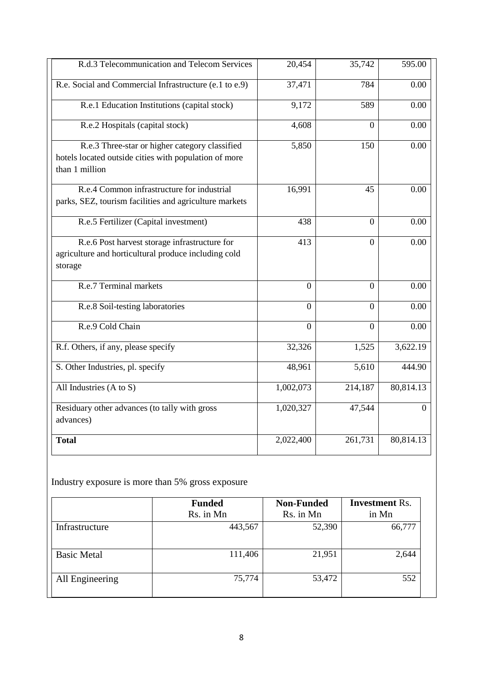| R.d.3 Telecommunication and Telecom Services                                                                              | 20,454         | 35,742   | 595.00         |
|---------------------------------------------------------------------------------------------------------------------------|----------------|----------|----------------|
| R.e. Social and Commercial Infrastructure (e.1 to e.9)                                                                    | 37,471         | 784      | 0.00           |
| R.e.1 Education Institutions (capital stock)                                                                              | 9,172          | 589      | 0.00           |
| R.e.2 Hospitals (capital stock)                                                                                           | 4,608          | $\theta$ | 0.00           |
| R.e.3 Three-star or higher category classified<br>hotels located outside cities with population of more<br>than 1 million | 5,850          | 150      | 0.00           |
| R.e.4 Common infrastructure for industrial<br>parks, SEZ, tourism facilities and agriculture markets                      | 16,991         | 45       | 0.00           |
| R.e.5 Fertilizer (Capital investment)                                                                                     | 438            | $\Omega$ | 0.00           |
| R.e.6 Post harvest storage infrastructure for<br>agriculture and horticultural produce including cold<br>storage          | 413            | $\theta$ | 0.00           |
| R.e.7 Terminal markets                                                                                                    | $\overline{0}$ | $\Omega$ | 0.00           |
| R.e.8 Soil-testing laboratories                                                                                           | $\theta$       | $\theta$ | 0.00           |
| R.e.9 Cold Chain                                                                                                          | $\overline{0}$ | $\Omega$ | 0.00           |
| R.f. Others, if any, please specify                                                                                       | 32,326         | 1,525    | 3,622.19       |
| S. Other Industries, pl. specify                                                                                          | 48,961         | 5,610    | 444.90         |
| All Industries (A to S)                                                                                                   | 1,002,073      | 214,187  | 80,814.13      |
| Residuary other advances (to tally with gross<br>advances)                                                                | 1,020,327      | 47,544   | $\overline{0}$ |
| <b>Total</b>                                                                                                              | 2,022,400      | 261,731  | 80,814.13      |

Industry exposure is more than 5% gross exposure

|                    | <b>Funded</b><br>Rs. in Mn | <b>Non-Funded</b><br>Rs. in Mn | <b>Investment Rs.</b><br>in Mn |
|--------------------|----------------------------|--------------------------------|--------------------------------|
| Infrastructure     | 443,567                    | 52,390                         | 66,777                         |
| <b>Basic Metal</b> | 111,406                    | 21,951                         | 2,644                          |
| All Engineering    | 75,774                     | 53,472                         | 552                            |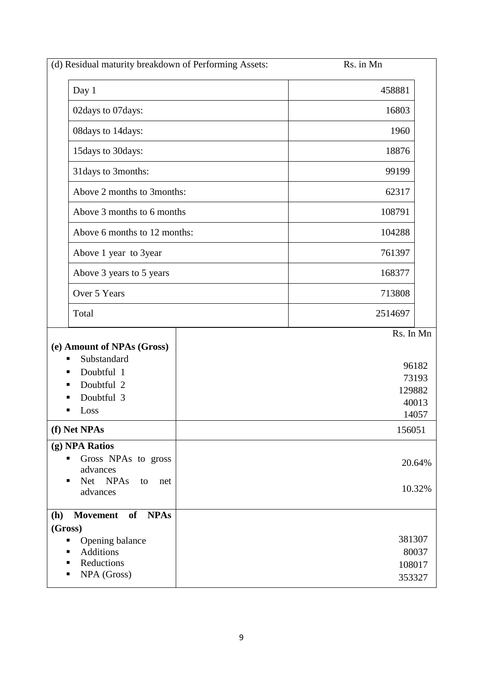| (d) Residual maturity breakdown of Performing Assets:                                                                                                 | Rs. in Mn                                               |
|-------------------------------------------------------------------------------------------------------------------------------------------------------|---------------------------------------------------------|
| Day 1                                                                                                                                                 | 458881                                                  |
| 02days to 07days:                                                                                                                                     | 16803                                                   |
| 08days to 14days:                                                                                                                                     | 1960                                                    |
| 15days to 30days:                                                                                                                                     | 18876                                                   |
| 31 days to 3 months:                                                                                                                                  | 99199                                                   |
| Above 2 months to 3months:                                                                                                                            | 62317                                                   |
| Above 3 months to 6 months                                                                                                                            | 108791                                                  |
| Above 6 months to 12 months:                                                                                                                          | 104288                                                  |
| Above 1 year to 3year                                                                                                                                 | 761397                                                  |
| Above 3 years to 5 years                                                                                                                              | 168377                                                  |
| Over 5 Years                                                                                                                                          | 713808                                                  |
| Total                                                                                                                                                 | 2514697                                                 |
| (e) Amount of NPAs (Gross)<br>Substandard<br>٠<br>Doubtful 1<br>٠<br>Doubtful 2<br>Doubtful 3<br>Loss<br>■                                            | Rs. In Mn<br>96182<br>73193<br>129882<br>40013<br>14057 |
| (f) Net NPAs                                                                                                                                          | 156051                                                  |
| (g) NPA Ratios<br>Gross NPAs to gross<br>ш<br>advances<br>Net NPAs<br>to<br>п<br>net<br>advances                                                      | 20.64%<br>10.32%                                        |
| <b>NPAs</b><br><b>Movement</b><br>of<br><b>(h)</b><br>(Gross)<br>Opening balance<br>п<br><b>Additions</b><br>٠<br>Reductions<br>٠<br>NPA (Gross)<br>п | 381307<br>80037<br>108017<br>353327                     |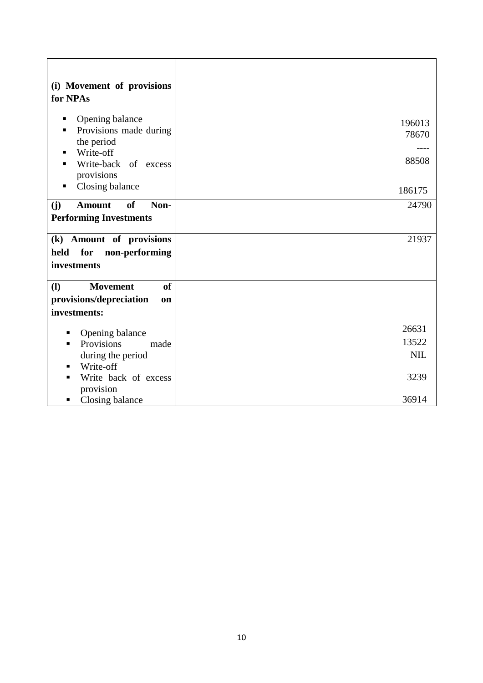| (i) Movement of provisions<br>for NPAs                                                                                                                 |                              |
|--------------------------------------------------------------------------------------------------------------------------------------------------------|------------------------------|
| Opening balance<br>п<br>Provisions made during<br>٠<br>the period<br>Write-off<br>٠<br>Write-back of excess<br>٠<br>provisions<br>Closing balance<br>٠ | 196013<br>78670<br>88508     |
|                                                                                                                                                        | 186175                       |
| of<br>Non-<br>(j)<br><b>Amount</b><br><b>Performing Investments</b>                                                                                    | 24790                        |
| (k) Amount of provisions<br>for<br>held<br>non-performing<br>investments                                                                               | 21937                        |
| <b>of</b><br>$\mathbf{I}$<br><b>Movement</b>                                                                                                           |                              |
| provisions/depreciation<br><b>on</b>                                                                                                                   |                              |
| investments:                                                                                                                                           |                              |
| Opening balance<br>Provisions<br>made<br>during the period<br>Write-off<br>٠                                                                           | 26631<br>13522<br><b>NIL</b> |
| Write back of excess<br>provision                                                                                                                      | 3239                         |
| Closing balance                                                                                                                                        | 36914                        |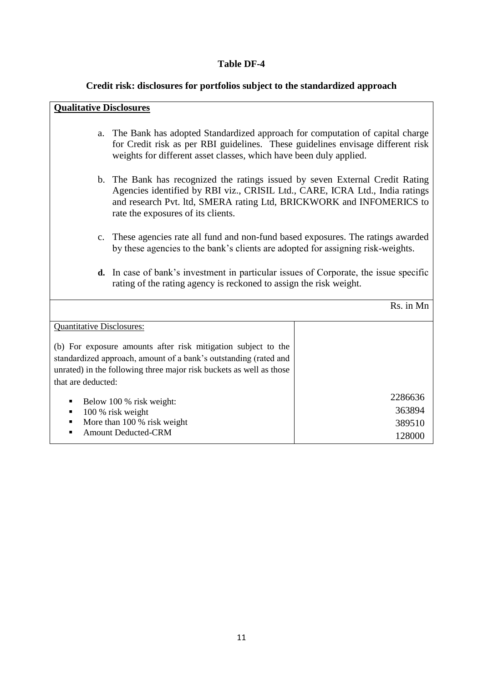#### **Table DF-4**

#### **Credit risk: disclosures for portfolios subject to the standardized approach**

#### **Qualitative Disclosures**

- a. The Bank has adopted Standardized approach for computation of capital charge for Credit risk as per RBI guidelines. These guidelines envisage different risk weights for different asset classes, which have been duly applied.
- b. The Bank has recognized the ratings issued by seven External Credit Rating Agencies identified by RBI viz., CRISIL Ltd., CARE, ICRA Ltd., India ratings and research Pvt. ltd, SMERA rating Ltd, BRICKWORK and INFOMERICS to rate the exposures of its clients.
- c. These agencies rate all fund and non-fund based exposures. The ratings awarded by these agencies to the bank's clients are adopted for assigning risk-weights.
- **d.** In case of bank's investment in particular issues of Corporate, the issue specific rating of the rating agency is reckoned to assign the risk weight.

Rs. in Mn

| <b>Quantitative Disclosures:</b>                                    |         |
|---------------------------------------------------------------------|---------|
|                                                                     |         |
| (b) For exposure amounts after risk mitigation subject to the       |         |
| standardized approach, amount of a bank's outstanding (rated and    |         |
| unrated) in the following three major risk buckets as well as those |         |
| that are deducted:                                                  |         |
| Below 100 % risk weight:<br>$\blacksquare$                          | 2286636 |
| 100 % risk weight<br>٠                                              | 363894  |
| More than 100 % risk weight<br>٠                                    | 389510  |
| <b>Amount Deducted-CRM</b><br>■                                     | 128000  |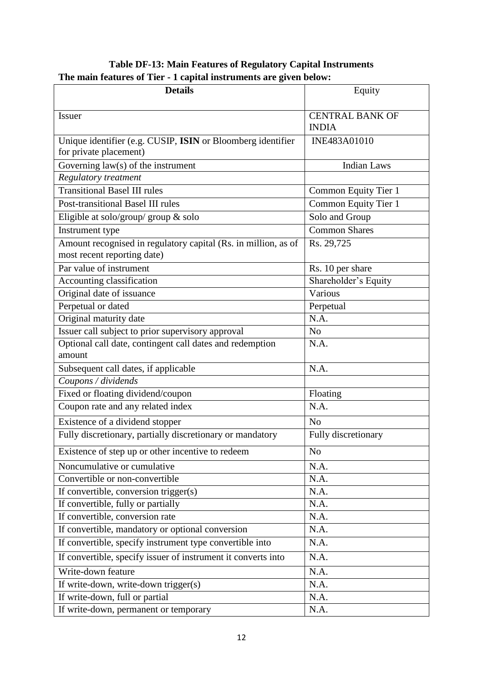| <b>Details</b>                                                                                | Equity                 |
|-----------------------------------------------------------------------------------------------|------------------------|
|                                                                                               |                        |
| <b>Issuer</b>                                                                                 | <b>CENTRAL BANK OF</b> |
|                                                                                               | <b>INDIA</b>           |
| Unique identifier (e.g. CUSIP, ISIN or Bloomberg identifier<br>for private placement)         | INE483A01010           |
| Governing $law(s)$ of the instrument                                                          | <b>Indian Laws</b>     |
| Regulatory treatment                                                                          |                        |
| <b>Transitional Basel III rules</b>                                                           | Common Equity Tier 1   |
| Post-transitional Basel III rules                                                             | Common Equity Tier 1   |
| Eligible at solo/group/ group & solo                                                          | Solo and Group         |
| Instrument type                                                                               | <b>Common Shares</b>   |
| Amount recognised in regulatory capital (Rs. in million, as of<br>most recent reporting date) | Rs. 29,725             |
| Par value of instrument                                                                       | Rs. 10 per share       |
| Accounting classification                                                                     | Shareholder's Equity   |
| Original date of issuance                                                                     | Various                |
| Perpetual or dated                                                                            | Perpetual              |
| Original maturity date                                                                        | N.A.                   |
| Issuer call subject to prior supervisory approval                                             | N <sub>0</sub>         |
| Optional call date, contingent call dates and redemption<br>amount                            | N.A.                   |
| Subsequent call dates, if applicable                                                          | N.A.                   |
| Coupons / dividends                                                                           |                        |
| Fixed or floating dividend/coupon                                                             | Floating               |
| Coupon rate and any related index                                                             | N.A.                   |
| Existence of a dividend stopper                                                               | N <sub>o</sub>         |
| Fully discretionary, partially discretionary or mandatory                                     | Fully discretionary    |
| Existence of step up or other incentive to redeem                                             | No                     |
| Noncumulative or cumulative                                                                   | N.A.                   |
| Convertible or non-convertible                                                                | N.A.                   |
| If convertible, conversion trigger(s)                                                         | N.A.                   |
| If convertible, fully or partially                                                            | N.A.                   |
| If convertible, conversion rate                                                               | N.A.                   |
| If convertible, mandatory or optional conversion                                              | N.A.                   |
| If convertible, specify instrument type convertible into                                      | N.A.                   |
| If convertible, specify issuer of instrument it converts into                                 | N.A.                   |
| Write-down feature                                                                            | N.A.                   |
| If write-down, write-down trigger(s)                                                          | N.A.                   |
| If write-down, full or partial                                                                | N.A.                   |
| If write-down, permanent or temporary                                                         | N.A.                   |

# **Table DF-13: Main Features of Regulatory Capital Instruments The main features of Tier - 1 capital instruments are given below:**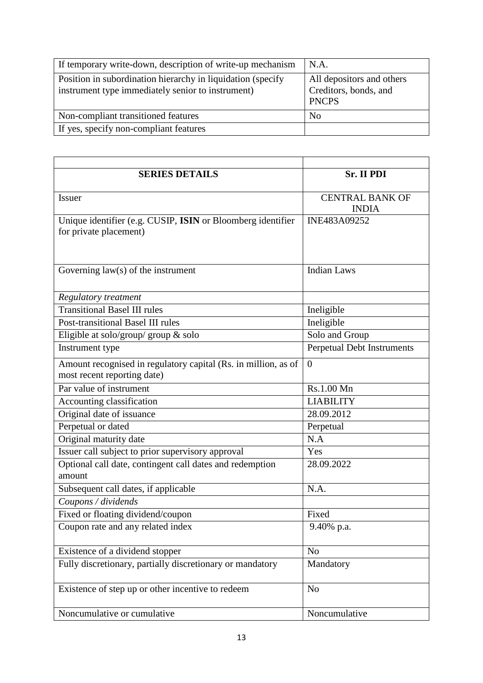| If temporary write-down, description of write-up mechanism                                                       | N.A.                                                               |
|------------------------------------------------------------------------------------------------------------------|--------------------------------------------------------------------|
| Position in subordination hierarchy in liquidation (specify<br>instrument type immediately senior to instrument) | All depositors and others<br>Creditors, bonds, and<br><b>PNCPS</b> |
| Non-compliant transitioned features                                                                              | N <sub>0</sub>                                                     |
| If yes, specify non-compliant features                                                                           |                                                                    |

| <b>SERIES DETAILS</b>                                                                         | Sr. II PDI                             |
|-----------------------------------------------------------------------------------------------|----------------------------------------|
| Issuer                                                                                        | <b>CENTRAL BANK OF</b><br><b>INDIA</b> |
| Unique identifier (e.g. CUSIP, ISIN or Bloomberg identifier<br>for private placement)         | INE483A09252                           |
| Governing law(s) of the instrument                                                            | <b>Indian Laws</b>                     |
| <b>Regulatory treatment</b>                                                                   |                                        |
| <b>Transitional Basel III rules</b>                                                           | Ineligible                             |
| <b>Post-transitional Basel III rules</b>                                                      | Ineligible                             |
| Eligible at solo/group/ group & solo                                                          | Solo and Group                         |
| Instrument type                                                                               | <b>Perpetual Debt Instruments</b>      |
| Amount recognised in regulatory capital (Rs. in million, as of<br>most recent reporting date) | $\overline{0}$                         |
| Par value of instrument                                                                       | Rs.1.00 Mn                             |
| Accounting classification                                                                     | <b>LIABILITY</b>                       |
| Original date of issuance                                                                     | 28.09.2012                             |
| Perpetual or dated                                                                            | Perpetual                              |
| Original maturity date                                                                        | N.A                                    |
| Issuer call subject to prior supervisory approval                                             | Yes                                    |
| Optional call date, contingent call dates and redemption<br>amount                            | 28.09.2022                             |
| Subsequent call dates, if applicable                                                          | N.A.                                   |
| Coupons / dividends                                                                           |                                        |
| Fixed or floating dividend/coupon                                                             | Fixed                                  |
| Coupon rate and any related index                                                             | 9.40% p.a.                             |
| Existence of a dividend stopper                                                               | N <sub>o</sub>                         |
| Fully discretionary, partially discretionary or mandatory                                     | Mandatory                              |
| Existence of step up or other incentive to redeem                                             | N <sub>o</sub>                         |
| Noncumulative or cumulative                                                                   | Noncumulative                          |
|                                                                                               |                                        |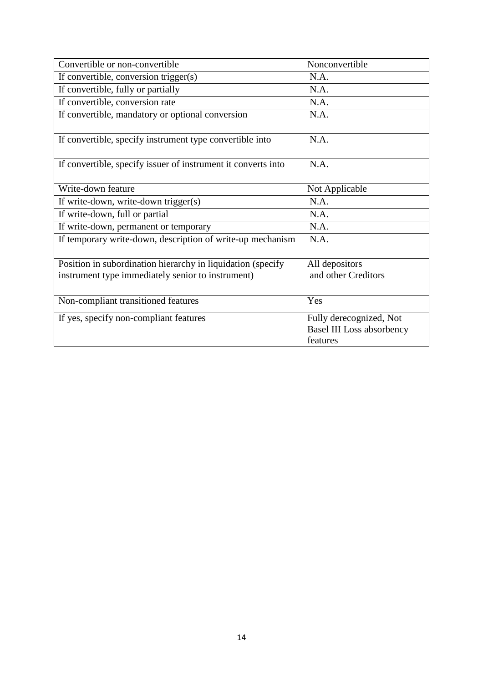| Convertible or non-convertible                                | Nonconvertible                                                          |
|---------------------------------------------------------------|-------------------------------------------------------------------------|
| If convertible, conversion trigger(s)                         | N.A.                                                                    |
| If convertible, fully or partially                            | N.A.                                                                    |
| If convertible, conversion rate                               | N.A.                                                                    |
| If convertible, mandatory or optional conversion              | N.A.                                                                    |
| If convertible, specify instrument type convertible into      | N.A.                                                                    |
| If convertible, specify issuer of instrument it converts into | N.A.                                                                    |
| Write-down feature                                            | Not Applicable                                                          |
| If write-down, write-down trigger(s)                          | N.A.                                                                    |
| If write-down, full or partial                                | N.A.                                                                    |
| If write-down, permanent or temporary                         | N.A.                                                                    |
| If temporary write-down, description of write-up mechanism    | N.A.                                                                    |
| Position in subordination hierarchy in liquidation (specify   | All depositors                                                          |
| instrument type immediately senior to instrument)             | and other Creditors                                                     |
| Non-compliant transitioned features                           | Yes                                                                     |
| If yes, specify non-compliant features                        | Fully derecognized, Not<br><b>Basel III Loss absorbency</b><br>features |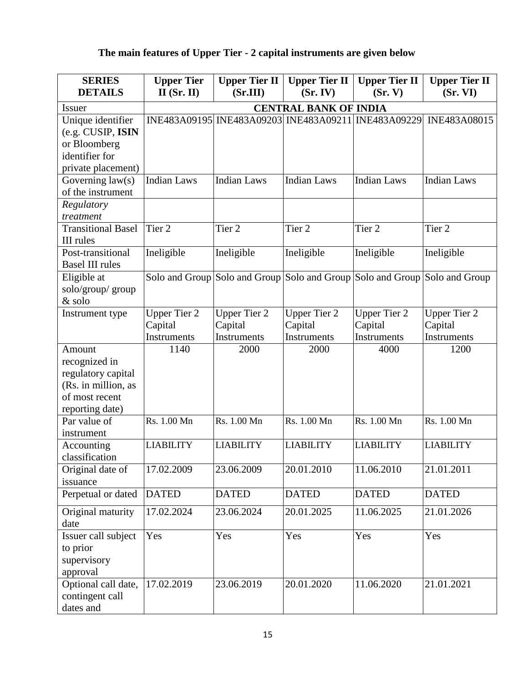# **The main features of Upper Tier - 2 capital instruments are given below**

| <b>SERIES</b><br><b>DETAILS</b>                                                                           | <b>Upper Tier</b><br>$II$ (Sr. II)            | <b>Upper Tier II</b><br>(Sr.III)              | <b>Upper Tier II</b><br>(Sr. IV)              | <b>Upper Tier II</b><br>(Sr, V)                                            | <b>Upper Tier II</b><br>(Sr. VI)                                 |
|-----------------------------------------------------------------------------------------------------------|-----------------------------------------------|-----------------------------------------------|-----------------------------------------------|----------------------------------------------------------------------------|------------------------------------------------------------------|
| <b>Issuer</b>                                                                                             | <b>CENTRAL BANK OF INDIA</b>                  |                                               |                                               |                                                                            |                                                                  |
| Unique identifier<br>(e.g. CUSIP, ISIN<br>or Bloomberg<br>identifier for<br>private placement)            |                                               |                                               |                                               |                                                                            | INE483A09195 INE483A09203 INE483A09211 INE483A09229 INE483A08015 |
| Governing $law(s)$                                                                                        | <b>Indian Laws</b>                            | <b>Indian Laws</b>                            | <b>Indian Laws</b>                            | <b>Indian Laws</b>                                                         | <b>Indian Laws</b>                                               |
| of the instrument                                                                                         |                                               |                                               |                                               |                                                                            |                                                                  |
| Regulatory<br>treatment                                                                                   |                                               |                                               |                                               |                                                                            |                                                                  |
| <b>Transitional Basel</b><br><b>III</b> rules                                                             | Tier 2                                        | Tier 2                                        | Tier 2                                        | Tier <sub>2</sub>                                                          | Tier <sub>2</sub>                                                |
| Post-transitional<br><b>Basel III rules</b>                                                               | Ineligible                                    | Ineligible                                    | Ineligible                                    | Ineligible                                                                 | Ineligible                                                       |
| Eligible at<br>solo/group/group<br>& solo                                                                 |                                               |                                               |                                               | Solo and Group Solo and Group Solo and Group Solo and Group Solo and Group |                                                                  |
| Instrument type                                                                                           | <b>Upper Tier 2</b><br>Capital<br>Instruments | <b>Upper Tier 2</b><br>Capital<br>Instruments | <b>Upper Tier 2</b><br>Capital<br>Instruments | <b>Upper Tier 2</b><br>Capital<br>Instruments                              | <b>Upper Tier 2</b><br>Capital<br>Instruments                    |
| Amount<br>recognized in<br>regulatory capital<br>(Rs. in million, as<br>of most recent<br>reporting date) | 1140                                          | 2000                                          | 2000                                          | 4000                                                                       | 1200                                                             |
| Par value of<br>instrument                                                                                | Rs. 1.00 Mn                                   | Rs. 1.00 Mn                                   | Rs. 1.00 Mn                                   | Rs. 1.00 Mn                                                                | Rs. 1.00 Mn                                                      |
| Accounting<br>classification                                                                              | <b>LIABILITY</b>                              | <b>LIABILITY</b>                              | <b>LIABILITY</b>                              | <b>LIABILITY</b>                                                           | <b>LIABILITY</b>                                                 |
| Original date of<br>issuance                                                                              | 17.02.2009                                    | 23.06.2009                                    | 20.01.2010                                    | 11.06.2010                                                                 | 21.01.2011                                                       |
| Perpetual or dated                                                                                        | <b>DATED</b>                                  | <b>DATED</b>                                  | <b>DATED</b>                                  | <b>DATED</b>                                                               | <b>DATED</b>                                                     |
| Original maturity<br>date                                                                                 | 17.02.2024                                    | 23.06.2024                                    | 20.01.2025                                    | 11.06.2025                                                                 | 21.01.2026                                                       |
| Issuer call subject<br>to prior<br>supervisory<br>approval                                                | Yes                                           | Yes                                           | Yes                                           | Yes                                                                        | Yes                                                              |
| Optional call date,<br>contingent call<br>dates and                                                       | 17.02.2019                                    | 23.06.2019                                    | 20.01.2020                                    | 11.06.2020                                                                 | 21.01.2021                                                       |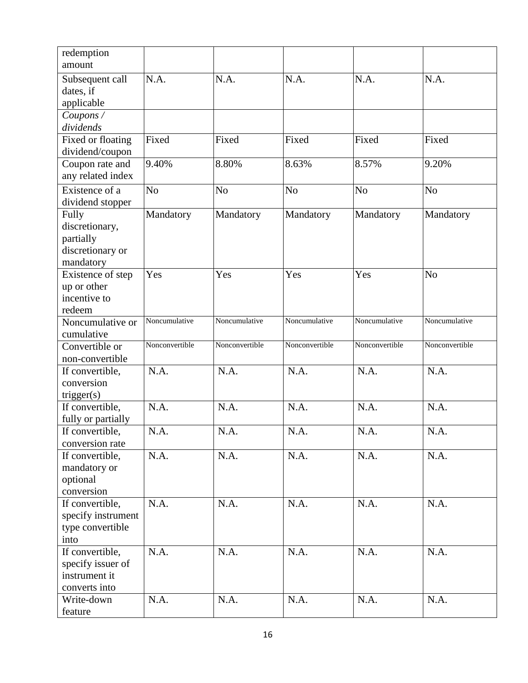| redemption                           |                |                |                |                |                |
|--------------------------------------|----------------|----------------|----------------|----------------|----------------|
| amount                               |                |                |                |                |                |
| Subsequent call                      | N.A.           | N.A.           | N.A.           | N.A.           | N.A.           |
| dates, if                            |                |                |                |                |                |
| applicable                           |                |                |                |                |                |
| Coupons /                            |                |                |                |                |                |
| dividends                            |                |                |                |                |                |
| Fixed or floating<br>dividend/coupon | Fixed          | Fixed          | Fixed          | Fixed          | Fixed          |
| Coupon rate and                      | 9.40%          | 8.80%          | 8.63%          | 8.57%          | 9.20%          |
| any related index                    |                |                |                |                |                |
| Existence of a                       | N <sub>o</sub> | N <sub>o</sub> | N <sub>o</sub> | N <sub>o</sub> | N <sub>o</sub> |
| dividend stopper                     |                |                |                |                |                |
| Fully                                | Mandatory      | Mandatory      | Mandatory      | Mandatory      | Mandatory      |
| discretionary,                       |                |                |                |                |                |
| partially                            |                |                |                |                |                |
| discretionary or                     |                |                |                |                |                |
| mandatory                            |                |                |                |                |                |
| Existence of step                    | Yes            | Yes            | Yes            | Yes            | N <sub>o</sub> |
| up or other                          |                |                |                |                |                |
| incentive to                         |                |                |                |                |                |
| redeem<br>Noncumulative or           | Noncumulative  | Noncumulative  | Noncumulative  | Noncumulative  | Noncumulative  |
| cumulative                           |                |                |                |                |                |
| Convertible or                       | Nonconvertible | Nonconvertible | Nonconvertible | Nonconvertible | Nonconvertible |
| non-convertible                      |                |                |                |                |                |
| If convertible,                      | N.A.           | N.A.           | N.A.           | N.A.           | N.A.           |
| conversion                           |                |                |                |                |                |
| trigger(s)                           |                |                |                |                |                |
| If convertible,                      | N.A.           | N.A.           | N.A.           | N.A.           | N.A.           |
| fully or partially                   |                |                |                |                |                |
| If convertible,                      | N.A.           | N.A.           | N.A.           | N.A.           | N.A.           |
| conversion rate                      |                |                |                |                |                |
| If convertible,                      | N.A.           | N.A.           | N.A.           | N.A.           | N.A.           |
| mandatory or<br>optional             |                |                |                |                |                |
| conversion                           |                |                |                |                |                |
| If convertible,                      | N.A.           | N.A.           | N.A.           | N.A.           | N.A.           |
| specify instrument                   |                |                |                |                |                |
| type convertible                     |                |                |                |                |                |
| into                                 |                |                |                |                |                |
| If convertible,                      | N.A.           | N.A.           | N.A.           | N.A.           | N.A.           |
| specify issuer of                    |                |                |                |                |                |
| instrument it                        |                |                |                |                |                |
| converts into                        |                |                |                |                |                |
| Write-down                           | N.A.           | N.A.           | N.A.           | N.A.           | N.A.           |
| feature                              |                |                |                |                |                |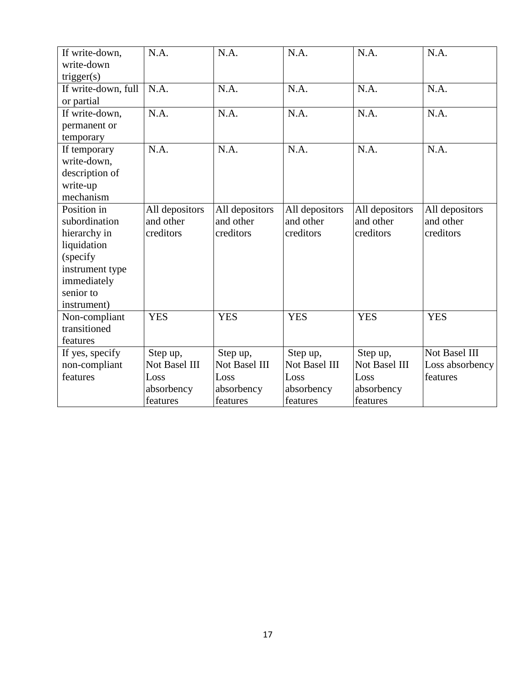| If write-down,      | N.A.           | N.A.           | N.A.           | N.A.           | N.A.            |
|---------------------|----------------|----------------|----------------|----------------|-----------------|
| write-down          |                |                |                |                |                 |
| trigger(s)          |                |                |                |                |                 |
| If write-down, full | N.A.           | N.A.           | N.A.           | N.A.           | N.A.            |
| or partial          |                |                |                |                |                 |
| If write-down,      | N.A.           | N.A.           | N.A.           | N.A.           | N.A.            |
| permanent or        |                |                |                |                |                 |
| temporary           |                |                |                |                |                 |
| If temporary        | N.A.           | N.A.           | N.A.           | N.A.           | N.A.            |
| write-down,         |                |                |                |                |                 |
| description of      |                |                |                |                |                 |
| write-up            |                |                |                |                |                 |
| mechanism           |                |                |                |                |                 |
| Position in         | All depositors | All depositors | All depositors | All depositors | All depositors  |
| subordination       | and other      | and other      | and other      | and other      | and other       |
| hierarchy in        | creditors      | creditors      | creditors      | creditors      | creditors       |
| liquidation         |                |                |                |                |                 |
| (specify)           |                |                |                |                |                 |
| instrument type     |                |                |                |                |                 |
| immediately         |                |                |                |                |                 |
| senior to           |                |                |                |                |                 |
| instrument)         |                |                |                |                |                 |
| Non-compliant       | <b>YES</b>     | <b>YES</b>     | <b>YES</b>     | <b>YES</b>     | <b>YES</b>      |
| transitioned        |                |                |                |                |                 |
| features            |                |                |                |                |                 |
| If yes, specify     | Step up,       | Step up,       | Step up,       | Step up,       | Not Basel III   |
| non-compliant       | Not Basel III  | Not Basel III  | Not Basel III  | Not Basel III  | Loss absorbency |
| features            | Loss           | Loss           | Loss           | Loss           | features        |
|                     | absorbency     | absorbency     | absorbency     | absorbency     |                 |
|                     | features       | features       | features       | features       |                 |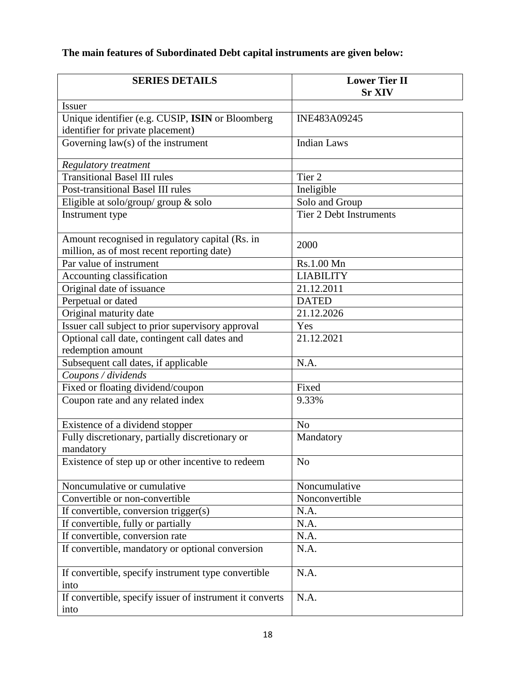# **The main features of Subordinated Debt capital instruments are given below:**

| <b>SERIES DETAILS</b>                                    | <b>Lower Tier II</b><br><b>Sr XIV</b> |
|----------------------------------------------------------|---------------------------------------|
| <b>Issuer</b>                                            |                                       |
| Unique identifier (e.g. CUSIP, ISIN or Bloomberg         | INE483A09245                          |
| identifier for private placement)                        |                                       |
| Governing $law(s)$ of the instrument                     | <b>Indian Laws</b>                    |
| Regulatory treatment                                     |                                       |
| <b>Transitional Basel III rules</b>                      | Tier <sub>2</sub>                     |
| Post-transitional Basel III rules                        | Ineligible                            |
| Eligible at solo/group/ group $\&$ solo                  | Solo and Group                        |
| Instrument type                                          | <b>Tier 2 Debt Instruments</b>        |
|                                                          |                                       |
| Amount recognised in regulatory capital (Rs. in          |                                       |
| million, as of most recent reporting date)               | 2000                                  |
| Par value of instrument                                  | Rs.1.00 Mn                            |
| Accounting classification                                | <b>LIABILITY</b>                      |
| Original date of issuance                                | 21.12.2011                            |
| Perpetual or dated                                       | <b>DATED</b>                          |
| Original maturity date                                   | 21.12.2026                            |
| Issuer call subject to prior supervisory approval        | Yes                                   |
| Optional call date, contingent call dates and            | 21.12.2021                            |
| redemption amount                                        |                                       |
| Subsequent call dates, if applicable                     | N.A.                                  |
| Coupons / dividends                                      |                                       |
| Fixed or floating dividend/coupon                        | Fixed                                 |
| Coupon rate and any related index                        | 9.33%                                 |
| Existence of a dividend stopper                          | N <sub>o</sub>                        |
| Fully discretionary, partially discretionary or          | Mandatory                             |
| mandatory                                                |                                       |
| Existence of step up or other incentive to redeem        | N <sub>o</sub>                        |
|                                                          |                                       |
| Noncumulative or cumulative                              | Noncumulative                         |
| Convertible or non-convertible                           | Nonconvertible                        |
| If convertible, conversion trigger(s)                    | N.A.                                  |
| If convertible, fully or partially                       | N.A.                                  |
| If convertible, conversion rate                          | N.A.                                  |
| If convertible, mandatory or optional conversion         | N.A.                                  |
|                                                          |                                       |
| If convertible, specify instrument type convertible      | N.A.                                  |
| into                                                     |                                       |
| If convertible, specify issuer of instrument it converts | N.A.                                  |
| into                                                     |                                       |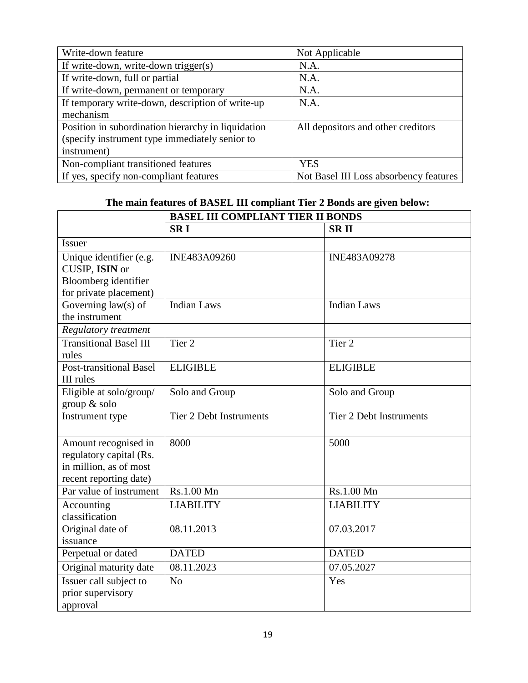| Write-down feature                                 | Not Applicable                         |
|----------------------------------------------------|----------------------------------------|
| If write-down, write-down trigger(s)               | N.A.                                   |
| If write-down, full or partial                     | N.A.                                   |
| If write-down, permanent or temporary              | N.A.                                   |
| If temporary write-down, description of write-up   | N.A.                                   |
| mechanism                                          |                                        |
| Position in subordination hierarchy in liquidation | All depositors and other creditors     |
| (specify instrument type immediately senior to     |                                        |
| instrument)                                        |                                        |
| Non-compliant transitioned features                | <b>YES</b>                             |
| If yes, specify non-compliant features             | Not Basel III Loss absorbency features |

# **The main features of BASEL III compliant Tier 2 Bonds are given below:**

|                                | <b>BASEL III COMPLIANT TIER II BONDS</b> |                                |  |
|--------------------------------|------------------------------------------|--------------------------------|--|
|                                | <b>SRI</b>                               | <b>SRII</b>                    |  |
| <b>Issuer</b>                  |                                          |                                |  |
| Unique identifier (e.g.        | INE483A09260                             | INE483A09278                   |  |
| CUSIP, ISIN or                 |                                          |                                |  |
| Bloomberg identifier           |                                          |                                |  |
| for private placement)         |                                          |                                |  |
| Governing $law(s)$ of          | <b>Indian Laws</b>                       | Indian Laws                    |  |
| the instrument                 |                                          |                                |  |
| Regulatory treatment           |                                          |                                |  |
| <b>Transitional Basel III</b>  | Tier 2                                   | Tier <sub>2</sub>              |  |
| rules                          |                                          |                                |  |
| <b>Post-transitional Basel</b> | <b>ELIGIBLE</b>                          | <b>ELIGIBLE</b>                |  |
| III rules                      |                                          |                                |  |
| Eligible at solo/group/        | Solo and Group                           | Solo and Group                 |  |
| group & solo                   |                                          |                                |  |
| Instrument type                | Tier 2 Debt Instruments                  | <b>Tier 2 Debt Instruments</b> |  |
|                                |                                          |                                |  |
| Amount recognised in           | 8000                                     | 5000                           |  |
| regulatory capital (Rs.        |                                          |                                |  |
| in million, as of most         |                                          |                                |  |
| recent reporting date)         |                                          |                                |  |
| Par value of instrument        | Rs.1.00 Mn                               | Rs.1.00 Mn                     |  |
| Accounting                     | <b>LIABILITY</b>                         | <b>LIABILITY</b>               |  |
| classification                 |                                          |                                |  |
| Original date of               | 08.11.2013                               | 07.03.2017                     |  |
| issuance                       |                                          |                                |  |
| Perpetual or dated             | <b>DATED</b>                             | <b>DATED</b>                   |  |
| Original maturity date         | 08.11.2023                               | 07.05.2027                     |  |
| Issuer call subject to         | N <sub>o</sub>                           | Yes                            |  |
| prior supervisory              |                                          |                                |  |
| approval                       |                                          |                                |  |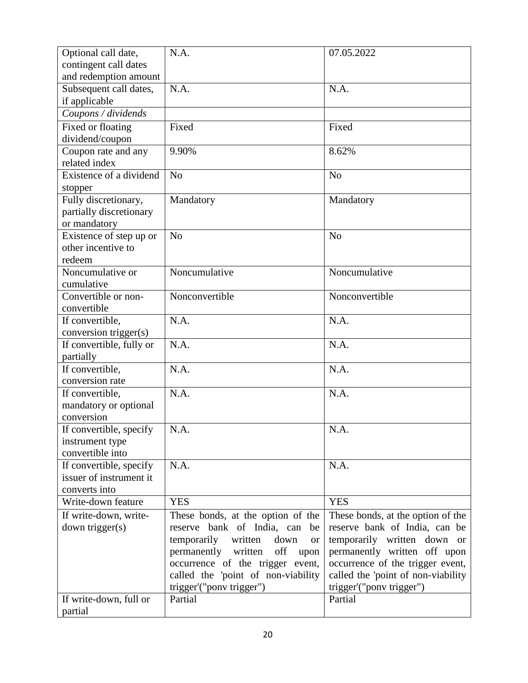| Optional call date,                            | N.A.                                        | 07.05.2022                          |
|------------------------------------------------|---------------------------------------------|-------------------------------------|
| contingent call dates<br>and redemption amount |                                             |                                     |
| Subsequent call dates,                         | N.A.                                        | N.A.                                |
| if applicable                                  |                                             |                                     |
| Coupons / dividends                            |                                             |                                     |
| Fixed or floating                              | Fixed                                       | Fixed                               |
| dividend/coupon                                |                                             |                                     |
| Coupon rate and any                            | 9.90%                                       | 8.62%                               |
| related index                                  |                                             |                                     |
| Existence of a dividend                        | N <sub>o</sub>                              | N <sub>o</sub>                      |
| stopper<br>Fully discretionary,                | Mandatory                                   | Mandatory                           |
| partially discretionary                        |                                             |                                     |
| or mandatory                                   |                                             |                                     |
| Existence of step up or                        | N <sub>o</sub>                              | N <sub>o</sub>                      |
| other incentive to                             |                                             |                                     |
| redeem                                         |                                             |                                     |
| Noncumulative or                               | Noncumulative                               | Noncumulative                       |
| cumulative<br>Convertible or non-              | Nonconvertible                              | Nonconvertible                      |
| convertible                                    |                                             |                                     |
| If convertible,                                | N.A.                                        | N.A.                                |
| conversion trigger(s)                          |                                             |                                     |
| If convertible, fully or                       | N.A.                                        | N.A.                                |
| partially                                      |                                             |                                     |
| If convertible,                                | N.A.                                        | N.A.                                |
| conversion rate                                | N.A.                                        | N.A.                                |
| If convertible,<br>mandatory or optional       |                                             |                                     |
| conversion                                     |                                             |                                     |
| If convertible, specify                        | N.A.                                        | N.A                                 |
| instrument type                                |                                             |                                     |
| convertible into                               |                                             |                                     |
| If convertible, specify                        | N.A.                                        | N.A.                                |
| issuer of instrument it<br>converts into       |                                             |                                     |
| Write-down feature                             | <b>YES</b>                                  | <b>YES</b>                          |
| If write-down, write-                          | These bonds, at the option of the           | These bonds, at the option of the   |
| down trigger(s)                                | reserve bank of India, can<br>be            | reserve bank of India, can be       |
|                                                | temporarily<br>written<br>down<br><b>or</b> | temporarily written down or         |
|                                                | permanently written off<br>upon             | permanently written off upon        |
|                                                | occurrence of the trigger event,            | occurrence of the trigger event,    |
|                                                | called the 'point of non-viability          | called the 'point of non-viability  |
| If write-down, full or                         | trigger'("ponv trigger")<br>Partial         | trigger'("pony trigger")<br>Partial |
| partial                                        |                                             |                                     |